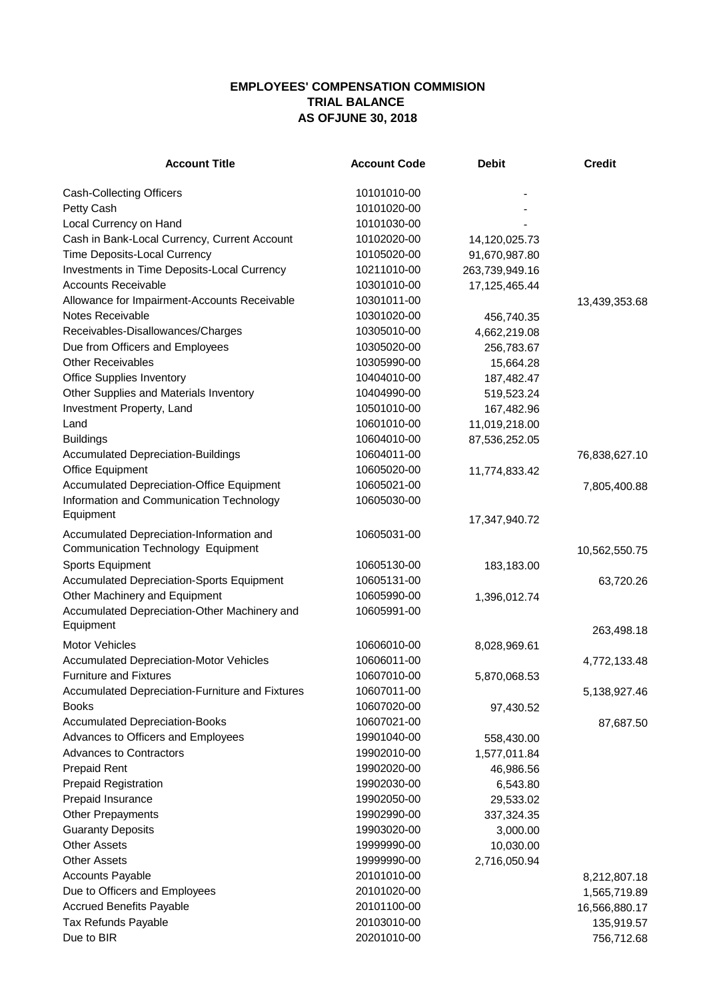## **EMPLOYEES' COMPENSATION COMMISION TRIAL BALANCE AS OFJUNE 30, 2018**

| <b>Account Title</b>                                      | <b>Account Code</b> | <b>Debit</b>   | <b>Credit</b> |
|-----------------------------------------------------------|---------------------|----------------|---------------|
| <b>Cash-Collecting Officers</b>                           | 10101010-00         |                |               |
| Petty Cash                                                | 10101020-00         |                |               |
| Local Currency on Hand                                    | 10101030-00         |                |               |
| Cash in Bank-Local Currency, Current Account              | 10102020-00         | 14,120,025.73  |               |
| Time Deposits-Local Currency                              | 10105020-00         | 91,670,987.80  |               |
| Investments in Time Deposits-Local Currency               | 10211010-00         | 263,739,949.16 |               |
| <b>Accounts Receivable</b>                                | 10301010-00         | 17,125,465.44  |               |
| Allowance for Impairment-Accounts Receivable              | 10301011-00         |                | 13,439,353.68 |
| Notes Receivable                                          | 10301020-00         | 456,740.35     |               |
| Receivables-Disallowances/Charges                         | 10305010-00         | 4,662,219.08   |               |
| Due from Officers and Employees                           | 10305020-00         | 256,783.67     |               |
| <b>Other Receivables</b>                                  | 10305990-00         | 15,664.28      |               |
| <b>Office Supplies Inventory</b>                          | 10404010-00         | 187,482.47     |               |
| Other Supplies and Materials Inventory                    | 10404990-00         | 519,523.24     |               |
| Investment Property, Land                                 | 10501010-00         | 167,482.96     |               |
| Land                                                      | 10601010-00         | 11,019,218.00  |               |
| <b>Buildings</b>                                          | 10604010-00         | 87,536,252.05  |               |
| <b>Accumulated Depreciation-Buildings</b>                 | 10604011-00         |                | 76,838,627.10 |
| Office Equipment                                          | 10605020-00         | 11,774,833.42  |               |
| <b>Accumulated Depreciation-Office Equipment</b>          | 10605021-00         |                | 7,805,400.88  |
| Information and Communication Technology                  | 10605030-00         |                |               |
| Equipment                                                 |                     |                |               |
| Accumulated Depreciation-Information and                  | 10605031-00         | 17,347,940.72  |               |
| Communication Technology Equipment                        |                     |                |               |
|                                                           | 10605130-00         |                | 10,562,550.75 |
| <b>Sports Equipment</b>                                   |                     | 183,183.00     |               |
| <b>Accumulated Depreciation-Sports Equipment</b>          | 10605131-00         |                | 63,720.26     |
| Other Machinery and Equipment                             | 10605990-00         | 1,396,012.74   |               |
| Accumulated Depreciation-Other Machinery and<br>Equipment | 10605991-00         |                | 263,498.18    |
| <b>Motor Vehicles</b>                                     | 10606010-00         | 8,028,969.61   |               |
| <b>Accumulated Depreciation-Motor Vehicles</b>            | 10606011-00         |                | 4,772,133.48  |
| <b>Furniture and Fixtures</b>                             | 10607010-00         | 5,870,068.53   |               |
| Accumulated Depreciation-Furniture and Fixtures           | 10607011-00         |                | 5,138,927.46  |
| <b>Books</b>                                              | 10607020-00         | 97,430.52      |               |
| <b>Accumulated Depreciation-Books</b>                     | 10607021-00         |                | 87,687.50     |
| Advances to Officers and Employees                        | 19901040-00         | 558,430.00     |               |
| <b>Advances to Contractors</b>                            | 19902010-00         | 1,577,011.84   |               |
| <b>Prepaid Rent</b>                                       | 19902020-00         | 46,986.56      |               |
| <b>Prepaid Registration</b>                               | 19902030-00         | 6,543.80       |               |
| Prepaid Insurance                                         | 19902050-00         | 29,533.02      |               |
| <b>Other Prepayments</b>                                  | 19902990-00         | 337,324.35     |               |
| <b>Guaranty Deposits</b>                                  | 19903020-00         | 3,000.00       |               |
| <b>Other Assets</b>                                       | 19999990-00         | 10,030.00      |               |
| <b>Other Assets</b>                                       | 19999990-00         | 2,716,050.94   |               |
| <b>Accounts Payable</b>                                   | 20101010-00         |                |               |
| Due to Officers and Employees                             | 20101020-00         |                | 8,212,807.18  |
| <b>Accrued Benefits Payable</b>                           | 20101100-00         |                | 1,565,719.89  |
|                                                           | 20103010-00         |                | 16,566,880.17 |
| <b>Tax Refunds Payable</b><br>Due to BIR                  | 20201010-00         |                | 135,919.57    |
|                                                           |                     |                | 756,712.68    |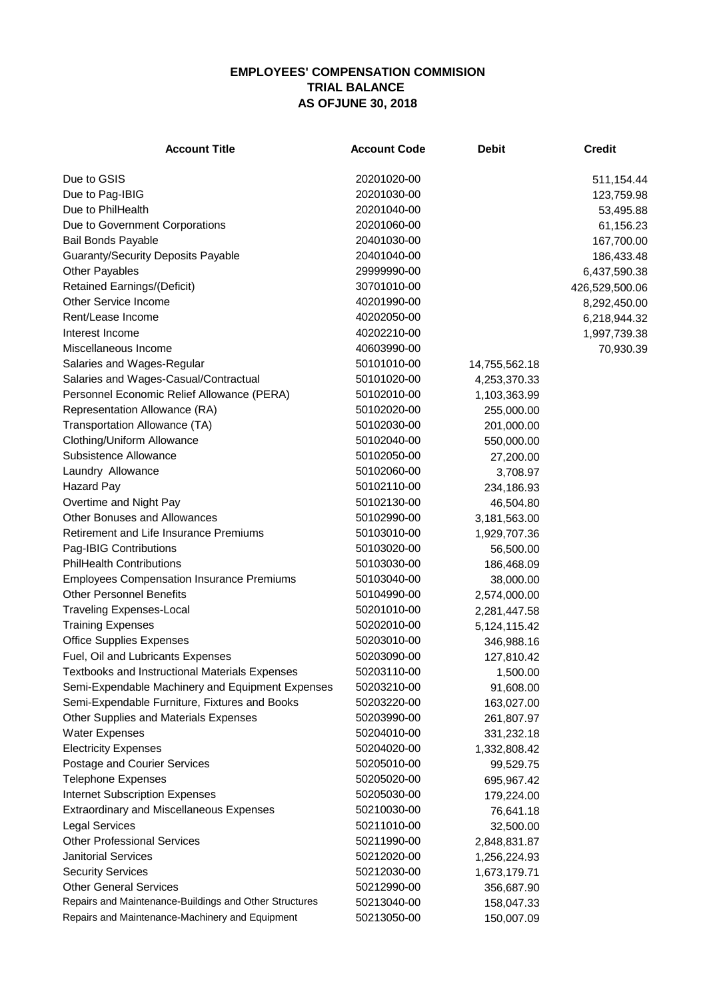## **EMPLOYEES' COMPENSATION COMMISION TRIAL BALANCE AS OFJUNE 30, 2018**

| <b>Account Title</b>                                   | <b>Account Code</b> | <b>Debit</b>  | <b>Credit</b>  |
|--------------------------------------------------------|---------------------|---------------|----------------|
| Due to GSIS                                            | 20201020-00         |               | 511,154.44     |
| Due to Pag-IBIG                                        | 20201030-00         |               | 123,759.98     |
| Due to PhilHealth                                      | 20201040-00         |               | 53,495.88      |
| Due to Government Corporations                         | 20201060-00         |               | 61,156.23      |
| <b>Bail Bonds Payable</b>                              | 20401030-00         |               | 167,700.00     |
| <b>Guaranty/Security Deposits Payable</b>              | 20401040-00         |               | 186,433.48     |
| <b>Other Payables</b>                                  | 29999990-00         |               | 6,437,590.38   |
| <b>Retained Earnings/(Deficit)</b>                     | 30701010-00         |               | 426,529,500.06 |
| Other Service Income                                   | 40201990-00         |               | 8,292,450.00   |
| Rent/Lease Income                                      | 40202050-00         |               | 6,218,944.32   |
| Interest Income                                        | 40202210-00         |               | 1,997,739.38   |
| Miscellaneous Income                                   | 40603990-00         |               | 70,930.39      |
| Salaries and Wages-Regular                             | 50101010-00         | 14,755,562.18 |                |
| Salaries and Wages-Casual/Contractual                  | 50101020-00         | 4,253,370.33  |                |
| Personnel Economic Relief Allowance (PERA)             | 50102010-00         | 1,103,363.99  |                |
| Representation Allowance (RA)                          | 50102020-00         |               |                |
| Transportation Allowance (TA)                          | 50102030-00         | 255,000.00    |                |
|                                                        | 50102040-00         | 201,000.00    |                |
| Clothing/Uniform Allowance                             | 50102050-00         | 550,000.00    |                |
| Subsistence Allowance                                  |                     | 27,200.00     |                |
| Laundry Allowance                                      | 50102060-00         | 3,708.97      |                |
| <b>Hazard Pay</b>                                      | 50102110-00         | 234,186.93    |                |
| Overtime and Night Pay                                 | 50102130-00         | 46,504.80     |                |
| Other Bonuses and Allowances                           | 50102990-00         | 3,181,563.00  |                |
| <b>Retirement and Life Insurance Premiums</b>          | 50103010-00         | 1,929,707.36  |                |
| Pag-IBIG Contributions                                 | 50103020-00         | 56,500.00     |                |
| <b>PhilHealth Contributions</b>                        | 50103030-00         | 186,468.09    |                |
| <b>Employees Compensation Insurance Premiums</b>       | 50103040-00         | 38,000.00     |                |
| <b>Other Personnel Benefits</b>                        | 50104990-00         | 2,574,000.00  |                |
| <b>Traveling Expenses-Local</b>                        | 50201010-00         | 2,281,447.58  |                |
| <b>Training Expenses</b>                               | 50202010-00         | 5,124,115.42  |                |
| <b>Office Supplies Expenses</b>                        | 50203010-00         | 346,988.16    |                |
| Fuel, Oil and Lubricants Expenses                      | 50203090-00         | 127,810.42    |                |
| <b>Textbooks and Instructional Materials Expenses</b>  | 50203110-00         | 1,500.00      |                |
| Semi-Expendable Machinery and Equipment Expenses       | 50203210-00         | 91,608.00     |                |
| Semi-Expendable Furniture, Fixtures and Books          | 50203220-00         | 163,027.00    |                |
| Other Supplies and Materials Expenses                  | 50203990-00         | 261,807.97    |                |
| <b>Water Expenses</b>                                  | 50204010-00         | 331,232.18    |                |
| <b>Electricity Expenses</b>                            | 50204020-00         | 1,332,808.42  |                |
| Postage and Courier Services                           | 50205010-00         | 99,529.75     |                |
| <b>Telephone Expenses</b>                              | 50205020-00         | 695,967.42    |                |
| <b>Internet Subscription Expenses</b>                  | 50205030-00         | 179,224.00    |                |
| <b>Extraordinary and Miscellaneous Expenses</b>        | 50210030-00         | 76,641.18     |                |
| <b>Legal Services</b>                                  | 50211010-00         | 32,500.00     |                |
| <b>Other Professional Services</b>                     | 50211990-00         | 2,848,831.87  |                |
| <b>Janitorial Services</b>                             | 50212020-00         | 1,256,224.93  |                |
| <b>Security Services</b>                               | 50212030-00         | 1,673,179.71  |                |
| <b>Other General Services</b>                          | 50212990-00         | 356,687.90    |                |
| Repairs and Maintenance-Buildings and Other Structures | 50213040-00         | 158,047.33    |                |
| Repairs and Maintenance-Machinery and Equipment        | 50213050-00         | 150,007.09    |                |